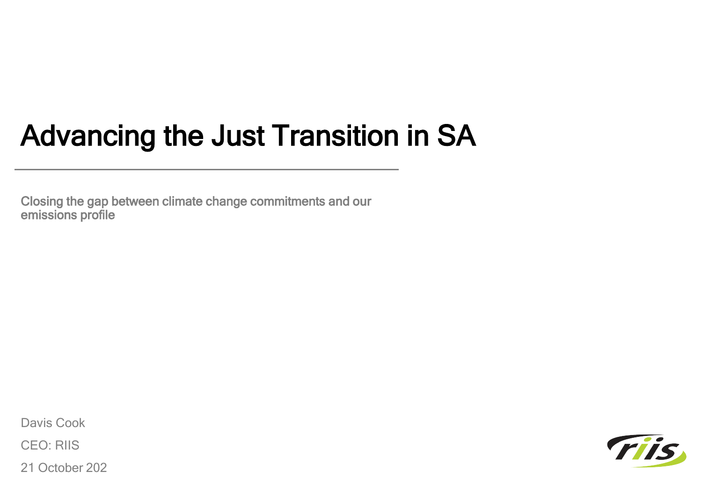# Advancing the Just Transition in SA

Closing the gap between climate change commitments and our emissions profile

Davis Cook

CEO: RIIS

21 October 202

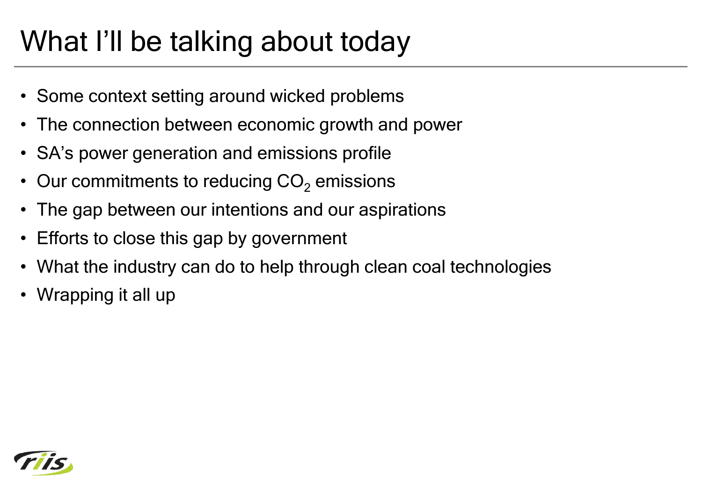# What I'll be talking about today

- Some context setting around wicked problems
- The connection between economic growth and power
- SA's power generation and emissions profile
- Our commitments to reducing  $CO<sub>2</sub>$  emissions
- The gap between our intentions and our aspirations
- Efforts to close this gap by government
- What the industry can do to help through clean coal technologies
- Wrapping it all up

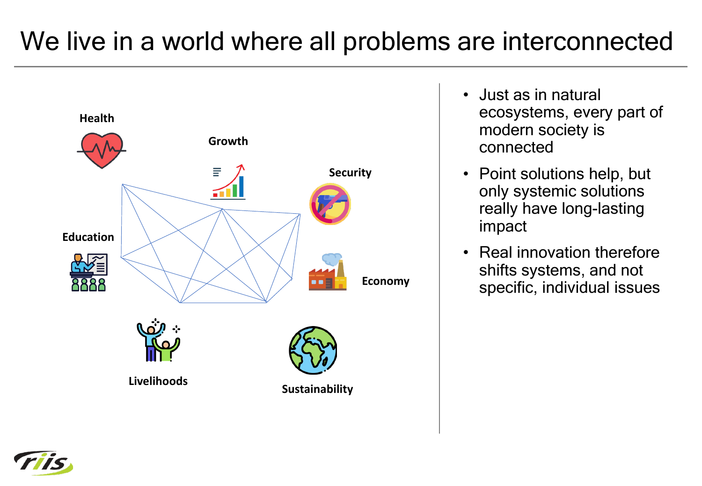### We live in a world where all problems are interconnected



- Just as in natural ecosystems, every part of modern society is connected
- Point solutions help, but only systemic solutions really have long-lasting impact
- Real innovation therefore shifts systems, and not specific, individual issues

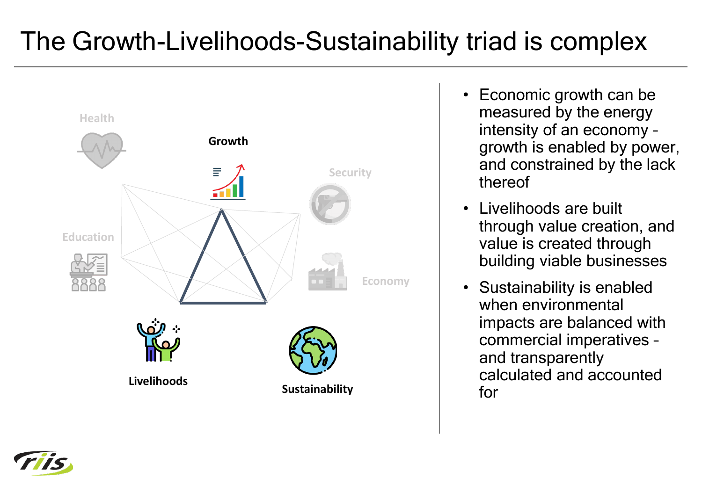## The Growth-Livelihoods-Sustainability triad is complex



- Economic growth can be measured by the energy intensity of an economy – growth is enabled by power, and constrained by the lack thereof
- Livelihoods are built through value creation, and value is created through building viable businesses
- Sustainability is enabled when environmental impacts are balanced with commercial imperatives – and transparently calculated and accounted for

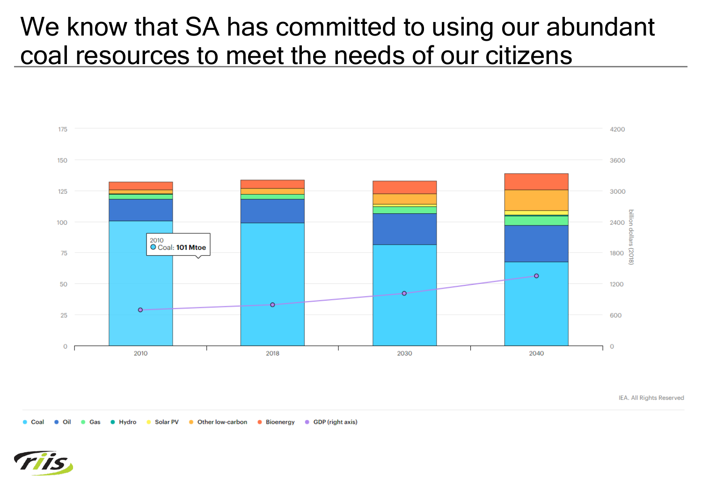#### We know that SA has committed to using our abundant coal resources to meet the needs of our citizens



IEA. All Rights Reserved

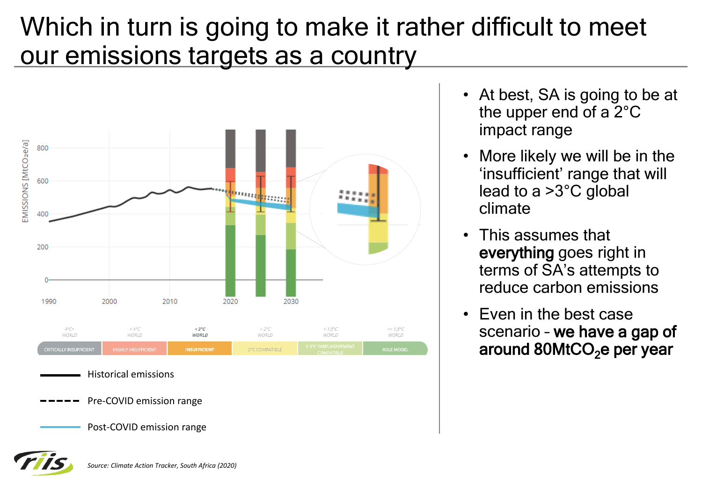#### Which in turn is going to make it rather difficult to meet our emissions targets as a country



*Source: Climate Action Tracker, South Africa (2020)*

- At best, SA is going to be at the upper end of a 2°C impact range
- More likely we will be in the 'insufficient' range that will lead to a >3°C global climate
- This assumes that everything goes right in terms of SA's attempts to reduce carbon emissions
- Even in the best case scenario – we have a gap of around 80MtCO<sub>2</sub>e per year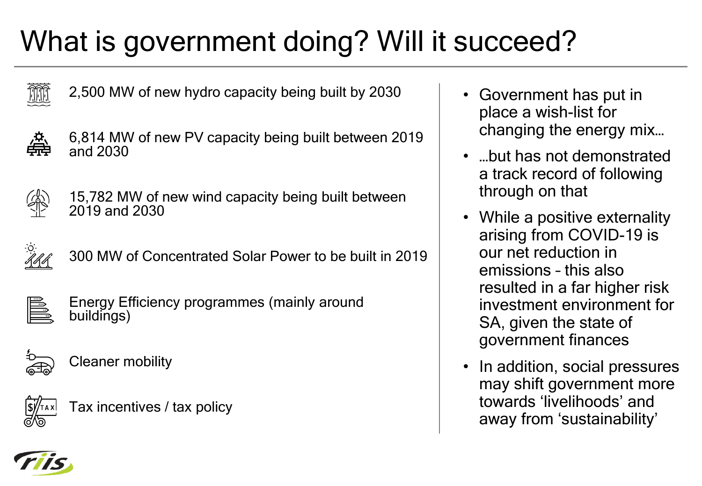# What is government doing? Will it succeed?



2,500 MW of new hydro capacity being built by 2030



6,814 MW of new PV capacity being built between 2019 and 2030



15,782 MW of new wind capacity being built between 2019 and 2030



300 MW of Concentrated Solar Power to be built in 2019



Energy Efficiency programmes (mainly around buildings)



Cleaner mobility



- Government has put in place a wish-list for changing the energy mix…
- …but has not demonstrated a track record of following through on that
- While a positive externality arising from COVID-19 is our net reduction in emissions – this also resulted in a far higher risk investment environment for SA, given the state of government finances
- In addition, social pressures may shift government more towards 'livelihoods' and away from 'sustainability'

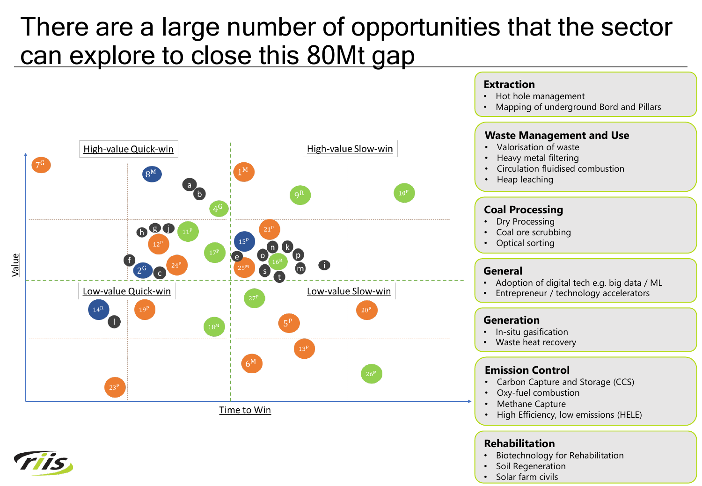#### There are a large number of opportunities that the sector can explore to close this 80Mt gap



Time to Win



#### **Rehabilitation**

**Extraction**

• Hot hole management

• Mapping of underground Bord and Pillars

• Biotechnology for Rehabilitation

• High Efficiency, low emissions (HELE)

- Soil Regeneration
- Solar farm civils